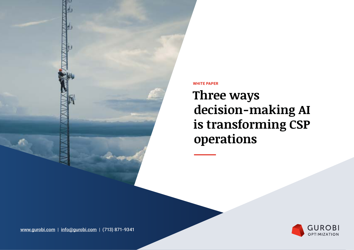

**WHITE PAPER**

**Three ways decision-making AI is transforming CSP operations**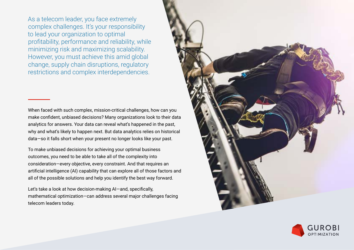As a telecom leader, you face extremely complex challenges. It's your responsibility to lead your organization to optimal profitability, performance and reliability, while minimizing risk and maximizing scalability. However, you must achieve this amid global change, supply chain disruptions, regulatory restrictions and complex interdependencies.

When faced with such complex, mission-critical challenges, how can you make confident, unbiased decisions? Many organizations look to their data analytics for answers. Your data can reveal what's happened in the past, why and what's likely to happen next. But data analytics relies on historical data—so it falls short when your present no longer looks like your past.

To make unbiased decisions for achieving your optimal business outcomes, you need to be able to take all of the complexity into consideration—every objective, every constraint. And that requires an artificial intelligence (AI) capability that can explore all of those factors and all of the possible solutions and help you identify the best way forward.

Let's take a look at how decision-making AI—and, specifically, mathematical optimization—can address several major challenges facing telecom leaders today.



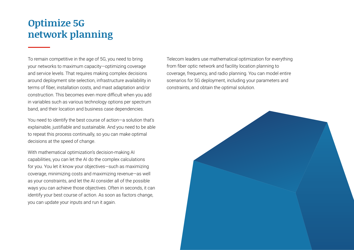### **Optimize 5G network planning**

To remain competitive in the age of 5G, you need to bring your networks to maximum capacity—optimizing coverage and service levels. That requires making complex decisions around deployment site selection, infrastructure availability in terms of fiber, installation costs, and mast adaptation and/or construction. This becomes even more difficult when you add in variables such as various technology options per spectrum band, and their location and business case dependencies.

You need to identify the best course of action—a solution that's explainable, justifiable and sustainable. And you need to be able to repeat this process continually, so you can make optimal decisions at the speed of change.

With mathematical optimization's decision-making AI capabilities, you can let the AI do the complex calculations for you. You let it know your objectives—such as maximizing coverage, minimizing costs and maximizing revenue—as well as your constraints, and let the AI consider all of the possible ways you can achieve those objectives. Often in seconds, it can identify your best course of action. As soon as factors change, you can update your inputs and run it again.

Telecom leaders use mathematical optimization for everything from fiber optic network and facility location planning to coverage, frequency, and radio planning. You can model entire scenarios for 5G deployment, including your parameters and constraints, and obtain the optimal solution.

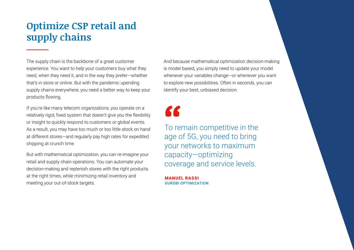# **Optimize CSP retail and supply chains**

The supply chain is the backbone of a great customer experience. You want to help your customers buy what they need, when they need it, and in the way they prefer—whether that's in store or online. But with the pandemic upending supply chains everywhere, you need a better way to keep your products flowing.

If you're like many telecom organizations, you operate on a relatively rigid, fixed system that doesn't give you the flexibility or insight to quickly respond to customers or global events. As a result, you may have too much or too little stock on hand at different stores—and regularly pay high rates for expedited shipping at crunch time.

But with mathematical optimization, you can re-imagine your retail and supply chain operations. You can automate your decision-making and replenish stores with the right products at the right times, while minimizing retail inventory and meeting your out-of-stock targets.

And because mathematical optimization decision-making is model based, you simply need to update your model whenever your variables change—or whenever you want to explore new possibilities. Often in seconds, you can identify your best, unbiased decision.

"

To remain competitive in the age of 5G, you need to bring your networks to maximum capacity—optimizing coverage and service levels.

MANUEL RASSI GUROBI OPTIMIZATION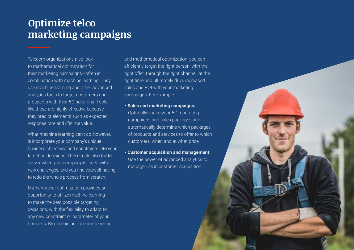#### **Optimize telco marketing campaigns**

Telecom organizations also look to mathematical optimization for their marketing campaigns—often in combination with machine learning. They use machine learning and other advanced analytics tools to target customers and prospects with their 5G solutions. Tools like these are highly effective because they predict elements such as expected response rate and lifetime value.

What machine learning can't do, however, is incorporate your company's unique business objectives and constraints into your targeting decisions. These tools also fail to deliver when your company is faced with new challenges, and you find yourself having to redo the whole process from scratch.

Mathematical optimization provides an opportunity to utilize machine learning to make the best possible targeting decisions, with the flexibility to adapt to any new constraint or parameter of your business. By combining machine learning and mathematical optimization, you can efficiently target the right person, with the right offer, through the right channel, at the right time and ultimately drive increased sales and ROI with your marketing campaigns. For example:

**• Sales and marketing campaigns:** 

Optimally shape your 5G marketing campaigns and sales packages and automatically determine which packages of products and services to offer to which customers, when and at what price.

**• Customer acquisition and management:**  Use the power of advanced analytics to manage risk in customer acquisition.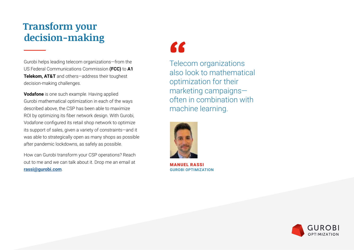## **Transform your decision-making**

Gurobi helps leading telecom organizations—from the US Federal Communications Commission **(FCC)** to **A1 Telekom, AT&T** and others—address their toughest decision-making challenges.

**Vodafone** is one such example. Having applied Gurobi mathematical optimization in each of the ways described above, the CSP has been able to maximize ROI by optimizing its fiber network design. With Gurobi, Vodafone configured its retail shop network to optimize its support of sales, given a variety of constraints—and it was able to strategically open as many shops as possible after pandemic lockdowns, as safely as possible.

How can Gurobi transform your CSP operations? Reach out to me and we can talk about it. Drop me an email at **[rassi@gurobi.com](mailto:rassi@gurobi.com)**.

# "

Telecom organizations also look to mathematical optimization for their marketing campaigns often in combination with machine learning.



MANUEL RASSI GUROBI OPTIMIZATION